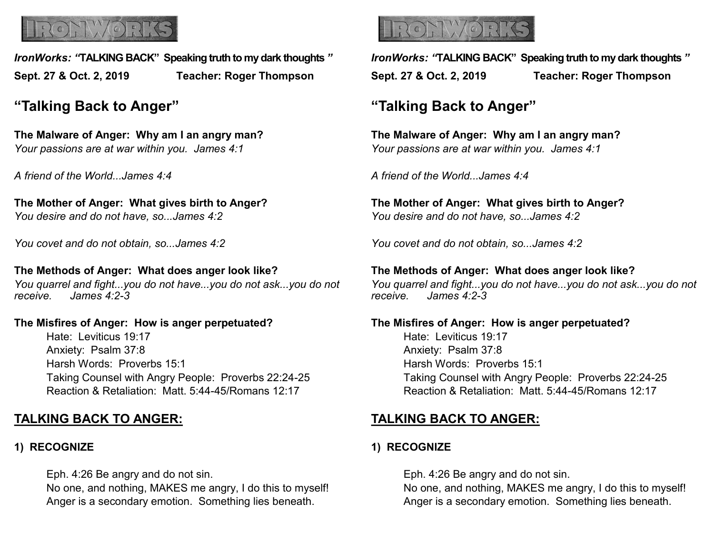

*IronWorks: "***TALKING BACK" Speaking truth to my dark thoughts** *"* **Sept. 27 & Oct. 2, 2019 Teacher: Roger Thompson**

# **"Talking Back to Anger"**

**The Malware of Anger: Why am I an angry man?** *Your passions are at war within you. James 4:1*

*A friend of the World...James 4:4*

**The Mother of Anger: What gives birth to Anger?** *You desire and do not have, so...James 4:2*

*You covet and do not obtain, so...James 4:2*

**The Methods of Anger: What does anger look like?** *You quarrel and fight...you do not have...you do not ask...you do not receive. James 4:2-3*

#### **The Misfires of Anger: How is anger perpetuated?**

Hate: Leviticus 19:17 Anxiety: Psalm 37:8 Harsh Words: Proverbs 15:1 Taking Counsel with Angry People: Proverbs 22:24-25 Reaction & Retaliation: Matt. 5:44-45/Romans 12:17

# **TALKING BACK TO ANGER:**

### **1) RECOGNIZE**

Eph. 4:26 Be angry and do not sin. No one, and nothing, MAKES me angry, I do this to myself! Anger is a secondary emotion. Something lies beneath.



*IronWorks: "***TALKING BACK" Speaking truth to my dark thoughts** *"* **Sept. 27 & Oct. 2, 2019 Teacher: Roger Thompson**

# **"Talking Back to Anger"**

**The Malware of Anger: Why am I an angry man?** *Your passions are at war within you. James 4:1*

*A friend of the World...James 4:4*

**The Mother of Anger: What gives birth to Anger?** *You desire and do not have, so...James 4:2*

*You covet and do not obtain, so...James 4:2*

**The Methods of Anger: What does anger look like?** *You quarrel and fight...you do not have...you do not ask...you do not receive. James 4:2-3*

### **The Misfires of Anger: How is anger perpetuated?** Hate: Leviticus 19:17 Anxiety: Psalm 37:8 Harsh Words: Proverbs 15:1 Taking Counsel with Angry People: Proverbs 22:24-25 Reaction & Retaliation: Matt. 5:44-45/Romans 12:17

# **TALKING BACK TO ANGER:**

### **1) RECOGNIZE**

Eph. 4:26 Be angry and do not sin. No one, and nothing, MAKES me angry, I do this to myself! Anger is a secondary emotion. Something lies beneath.